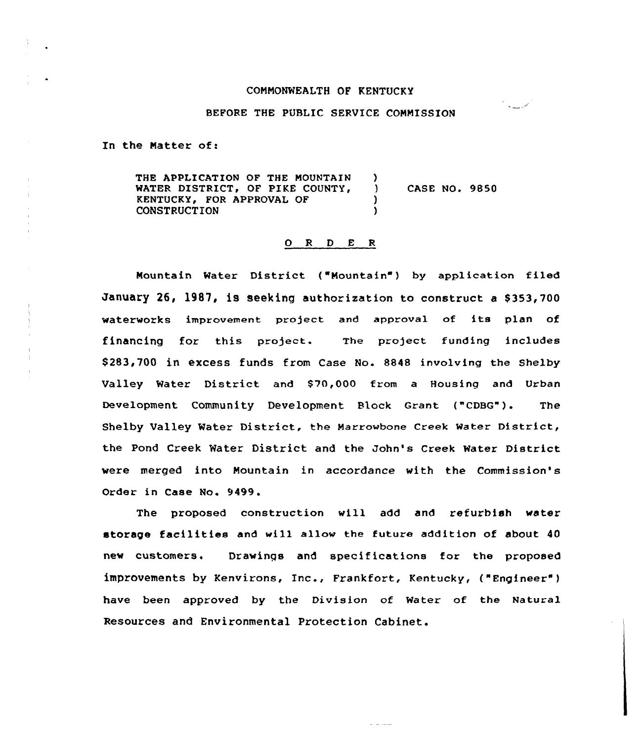## COMMONWEALTH OF KENTUCKY

## BEFORE THE PUBLIC SERVICE COMMISSION

ممرسية بالمر

In the Natter of:

THE APPLICATION OF THE MOUNTAIN )<br>WATER DISTRICT. OF PIKE COUNTY. ) WATER DISTRICT, OF PIKE COUNTY, ) CASE NO. 9850<br>KENTUCKY. FOR APPROVAL OF (1) KENTUCKY, FOR APPROVAL OF  $\bigcup_{n=1}^{\infty}$ **CONSTRUCTION** 

## $O$  R D E R

Mountain Water District ("Nountain") by application filed January 26, 1987, is seeking authorization to construct a \$353,700 waterworks improvement project and approval of its plan of financing for this project. The project funding includes \$283,700 in excess funds from Case No. 8848 involving the Shelby Valley Water District and \$70,000 from a Housing and Urban Development Community Development Block Grant ("CDBG"). The Shelby Valley Water District, the Marrowbone creek water District, the Pond Creek Water District and the John's Creek Water District were merged into Mountain in accordance with the Commission's Order in Case No. 9499.

The proposed construction will add and refurbish water storage facilities and will allow the future addition of about 40 new customers. Drawings and specifications for the proposed improvements by Kenvirons, Inc., Frankfort, Kentucky, ("Engineer" ) have been approved by the Division of Water of the Natural Resources and Environmental Protection Cabinet.

ساميا ب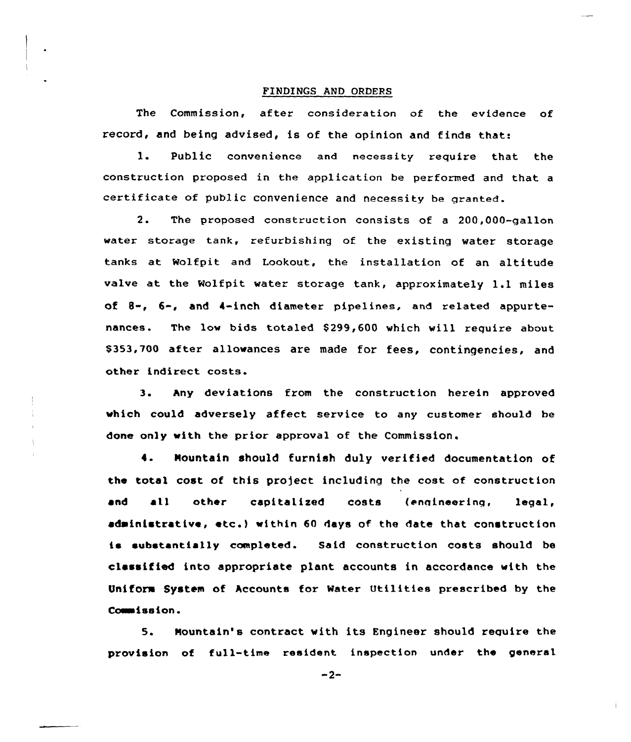## FINDINGS AND ORDERS

The Commission, after cansideration af the evidence of record, and being advised, is of the opinion and finds that:

1. Public convenience and necessity require that the construction proposed in the applieatian be performed and that a certificate of public convenience and necessity be granted.

2. The proposed construction consists of <sup>a</sup> 200,000-gallon water storage tank, refurbishing of the existing water storage tanks at Ralfpit and Lookout, the installation of an altitude valve at the Wolfpit water storage tank, approximately 1.1 miles of 8-, 6-, and 4-inch diametex pipelines, and related appurtenances. The low bids totaled \$299,600 which will require about \$353,700 aftex allowances are made for fees, contingencies, and other indirect costs.

3. hny deviations from the construction herein appxoved which could adversely affect service to any customer should be done only with the prior approval of the Commission.

Mountain should furnish duly verified documentation of 4. the total cost of this project including the cost of construction and all other capitalized costs (engineering, legal, administrative, etc. } within <sup>60</sup> days of the date that construction is substantially completed. Said construction costs should be classified into appropriate plant accounts in accordance with the Uniform System of hccounts for Water Utilities prescribed by the Commission.

5. Mountain's contract with its Engineer should require the provision of full-time resident inspection under the general

 $-2-$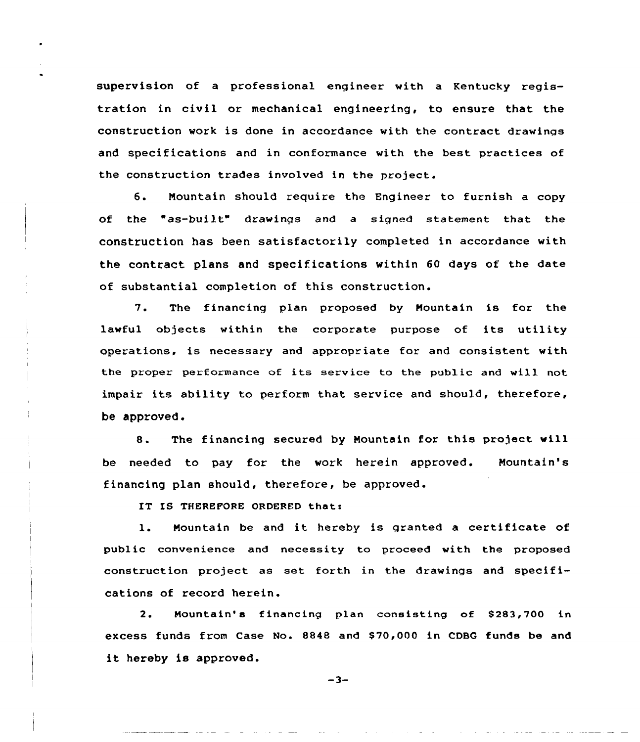supervision of a professional engineer with a Kentucky registration in civil or mechanical engineering, to ensure that the construction work is done in accordance with the contract drawings and specifications and in conformance with the best practices of the construction trades involved in the project.

6. Nountain should require the Engineer to furnish <sup>a</sup> copy of the "as-built" drawings and a signed statement that the construction has been satisfactorily completed in accordance with the contract plans and specifications within 60 days of the date of substantial completion of this construction.

7. The financing plan proposed by Nountain is for the lawful objects within the corporate purpose of its utility operations, is necessary and appropriate for and consistent with the proper performance of its service to the public and will not impair its ability to perform that service and should, therefore, be approved.

8. The financing secured by Nountain for this project will be needed to pay for the work herein approved. Nountain's financing plan should, therefore, be approved.

IT IS THEREFORE ORDERED that:

1. Nountain be and it hereby is granted <sup>a</sup> certificate of public convenience and necessity to proceed with the proposed construction project as set forth in the drawings and specifications of record herein.

2. Mountain's financing plan consisting of \$283,700 in excess funds from Case No. 8848 and \$ 70,000 in CDBG funds be and it hereby is approved.

 $-3-$